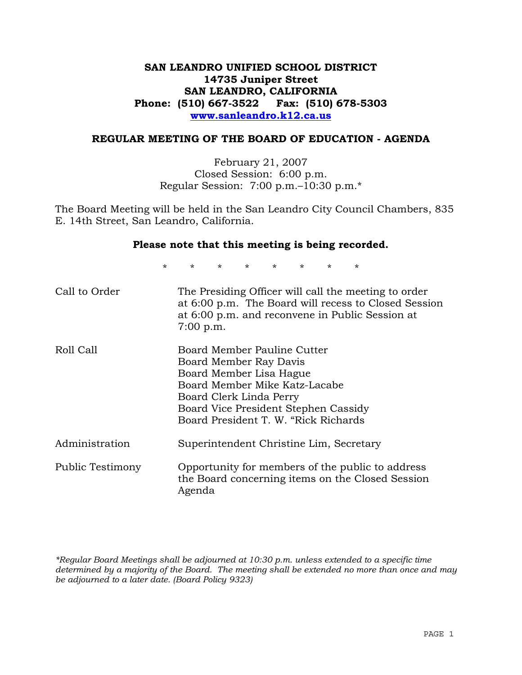## **SAN LEANDRO UNIFIED SCHOOL DISTRICT 14735 Juniper Street SAN LEANDRO, CALIFORNIA Phone: (510) 667-3522 Fax: (510) 678-5303 www.sanleandro.k12.ca.us**

#### **REGULAR MEETING OF THE BOARD OF EDUCATION - AGENDA**

February 21, 2007 Closed Session: 6:00 p.m. Regular Session: 7:00 p.m.–10:30 p.m.\*

The Board Meeting will be held in the San Leandro City Council Chambers, 835 E. 14th Street, San Leandro, California.

#### **Please note that this meeting is being recorded.**

\* \* \* \* \* \* \* \*

| Call to Order    | The Presiding Officer will call the meeting to order<br>at 6:00 p.m. The Board will recess to Closed Session<br>at 6:00 p.m. and reconvene in Public Session at<br>7:00 p.m.                                                  |
|------------------|-------------------------------------------------------------------------------------------------------------------------------------------------------------------------------------------------------------------------------|
| Roll Call        | Board Member Pauline Cutter<br>Board Member Ray Davis<br>Board Member Lisa Hague<br>Board Member Mike Katz-Lacabe<br>Board Clerk Linda Perry<br>Board Vice President Stephen Cassidy<br>Board President T. W. "Rick Richards" |
| Administration   | Superintendent Christine Lim, Secretary                                                                                                                                                                                       |
| Public Testimony | Opportunity for members of the public to address<br>the Board concerning items on the Closed Session<br>Agenda                                                                                                                |

*\*Regular Board Meetings shall be adjourned at 10:30 p.m. unless extended to a specific time determined by a majority of the Board. The meeting shall be extended no more than once and may be adjourned to a later date. (Board Policy 9323)*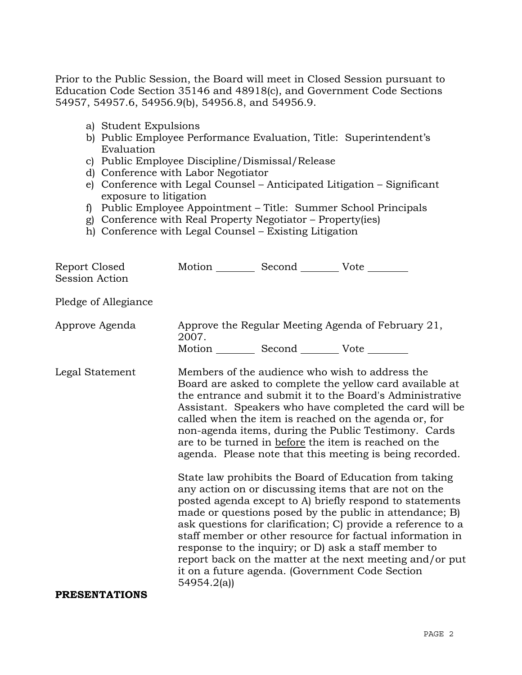Prior to the Public Session, the Board will meet in Closed Session pursuant to Education Code Section 35146 and 48918(c), and Government Code Sections 54957, 54957.6, 54956.9(b), 54956.8, and 54956.9.

- a) Student Expulsions
- b) Public Employee Performance Evaluation, Title: Superintendent's Evaluation
- c) Public Employee Discipline/Dismissal/Release
- d) Conference with Labor Negotiator
- e) Conference with Legal Counsel Anticipated Litigation Significant exposure to litigation
- f) Public Employee Appointment Title: Summer School Principals
- g) Conference with Real Property Negotiator Property(ies)
- h) Conference with Legal Counsel Existing Litigation

| Report Closed<br>Session Action | Motion __________ Second __________ Vote ________          |                                                                                                                                                                                                                                                                                                                                                                                                                                                                                                                                                                                                                                                                                                                                                                                                                                                                                                                                                                                                                        |
|---------------------------------|------------------------------------------------------------|------------------------------------------------------------------------------------------------------------------------------------------------------------------------------------------------------------------------------------------------------------------------------------------------------------------------------------------------------------------------------------------------------------------------------------------------------------------------------------------------------------------------------------------------------------------------------------------------------------------------------------------------------------------------------------------------------------------------------------------------------------------------------------------------------------------------------------------------------------------------------------------------------------------------------------------------------------------------------------------------------------------------|
| Pledge of Allegiance            |                                                            |                                                                                                                                                                                                                                                                                                                                                                                                                                                                                                                                                                                                                                                                                                                                                                                                                                                                                                                                                                                                                        |
| Approve Agenda                  | 2007.<br>Motion __________ Second __________ Vote ________ | Approve the Regular Meeting Agenda of February 21,                                                                                                                                                                                                                                                                                                                                                                                                                                                                                                                                                                                                                                                                                                                                                                                                                                                                                                                                                                     |
| Legal Statement                 |                                                            | Members of the audience who wish to address the<br>Board are asked to complete the yellow card available at<br>the entrance and submit it to the Board's Administrative<br>Assistant. Speakers who have completed the card will be<br>called when the item is reached on the agenda or, for<br>non-agenda items, during the Public Testimony. Cards<br>are to be turned in before the item is reached on the<br>agenda. Please note that this meeting is being recorded.<br>State law prohibits the Board of Education from taking<br>any action on or discussing items that are not on the<br>posted agenda except to A) briefly respond to statements<br>made or questions posed by the public in attendance; B)<br>ask questions for clarification; C) provide a reference to a<br>staff member or other resource for factual information in<br>response to the inquiry; or D) ask a staff member to<br>report back on the matter at the next meeting and/or put<br>it on a future agenda. (Government Code Section |
| <b>PRESENTATIONS</b>            | 54954.2(a)                                                 |                                                                                                                                                                                                                                                                                                                                                                                                                                                                                                                                                                                                                                                                                                                                                                                                                                                                                                                                                                                                                        |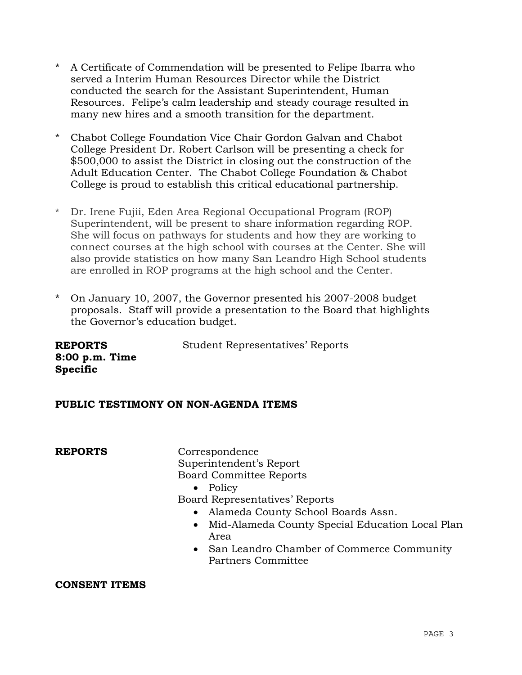- \* A Certificate of Commendation will be presented to Felipe Ibarra who served a Interim Human Resources Director while the District conducted the search for the Assistant Superintendent, Human Resources. Felipe's calm leadership and steady courage resulted in many new hires and a smooth transition for the department.
- \* Chabot College Foundation Vice Chair Gordon Galvan and Chabot College President Dr. Robert Carlson will be presenting a check for \$500,000 to assist the District in closing out the construction of the Adult Education Center. The Chabot College Foundation & Chabot College is proud to establish this critical educational partnership.
- \* Dr. Irene Fujii, Eden Area Regional Occupational Program (ROP) Superintendent, will be present to share information regarding ROP. She will focus on pathways for students and how they are working to connect courses at the high school with courses at the Center. She will also provide statistics on how many San Leandro High School students are enrolled in ROP programs at the high school and the Center.
- \* On January 10, 2007, the Governor presented his 2007-2008 budget proposals. Staff will provide a presentation to the Board that highlights the Governor's education budget.

**REPORTS 8:00 p.m. Time Specific**  Student Representatives' Reports

## **PUBLIC TESTIMONY ON NON-AGENDA ITEMS**

**REPORTS** Correspondence Superintendent's Report Board Committee Reports

• Policy

Board Representatives' Reports

- Alameda County School Boards Assn.
- Mid-Alameda County Special Education Local Plan Area
- San Leandro Chamber of Commerce Community Partners Committee

#### **CONSENT ITEMS**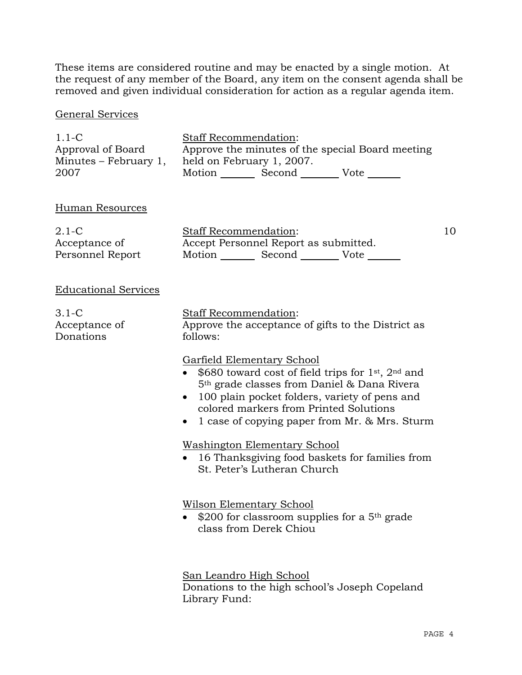These items are considered routine and may be enacted by a single motion. At the request of any member of the Board, any item on the consent agenda shall be removed and given individual consideration for action as a regular agenda item.

# General Services

| $1.1-C$<br>Approval of Board<br>Minutes – February 1,<br>2007 | Staff Recommendation:<br>Approve the minutes of the special Board meeting<br>held on February 1, 2007.<br>Motion _________ Second __________ Vote _______                                                                                                                                                        |    |
|---------------------------------------------------------------|------------------------------------------------------------------------------------------------------------------------------------------------------------------------------------------------------------------------------------------------------------------------------------------------------------------|----|
| Human Resources                                               |                                                                                                                                                                                                                                                                                                                  |    |
| $2.1-C$<br>Acceptance of<br>Personnel Report                  | Staff Recommendation:<br>Accept Personnel Report as submitted.<br>Motion _________ Second __________ Vote _______                                                                                                                                                                                                | 10 |
| <b>Educational Services</b>                                   |                                                                                                                                                                                                                                                                                                                  |    |
| $3.1-C$<br>Acceptance of<br>Donations                         | Staff Recommendation:<br>Approve the acceptance of gifts to the District as<br>follows:                                                                                                                                                                                                                          |    |
|                                                               | Garfield Elementary School<br>\$680 toward cost of field trips for 1st, 2nd and<br>5 <sup>th</sup> grade classes from Daniel & Dana Rivera<br>100 plain pocket folders, variety of pens and<br>$\bullet$<br>colored markers from Printed Solutions<br>1 case of copying paper from Mr. & Mrs. Sturm<br>$\bullet$ |    |
|                                                               | <b>Washington Elementary School</b><br>16 Thanksgiving food baskets for families from<br>$\bullet$<br>St. Peter's Lutheran Church                                                                                                                                                                                |    |
|                                                               | Wilson Elementary School<br>\$200 for classroom supplies for a 5 <sup>th</sup> grade<br>class from Derek Chiou                                                                                                                                                                                                   |    |
|                                                               | San Leandro High School<br>Donations to the high school's Joseph Copeland<br>Library Fund:                                                                                                                                                                                                                       |    |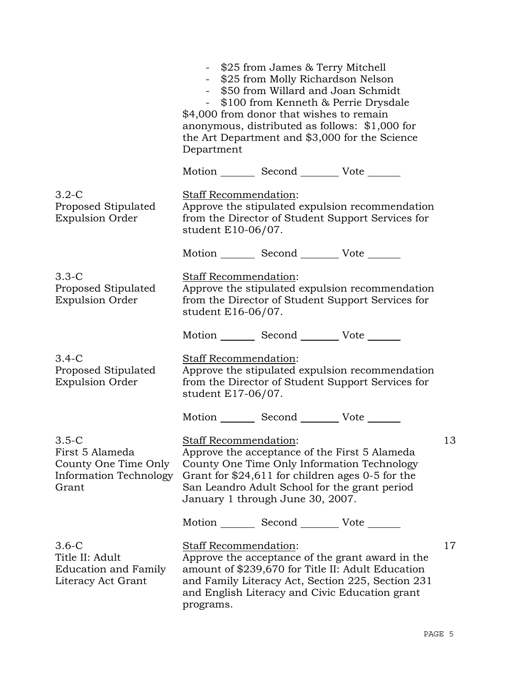|                                                                                              | - \$25 from James & Terry Mitchell<br>- \$25 from Molly Richardson Nelson<br>- \$50 from Willard and Joan Schmidt<br>\$100 from Kenneth & Perrie Drysdale<br>$\frac{1}{2}$<br>\$4,000 from donor that wishes to remain<br>anonymous, distributed as follows: \$1,000 for<br>the Art Department and \$3,000 for the Science<br>Department |    |  |
|----------------------------------------------------------------------------------------------|------------------------------------------------------------------------------------------------------------------------------------------------------------------------------------------------------------------------------------------------------------------------------------------------------------------------------------------|----|--|
|                                                                                              | Motion _________ Second __________ Vote _______                                                                                                                                                                                                                                                                                          |    |  |
| $3.2 - C$<br>Proposed Stipulated<br><b>Expulsion Order</b>                                   | Staff Recommendation:<br>Approve the stipulated expulsion recommendation<br>from the Director of Student Support Services for<br>student E10-06/07.                                                                                                                                                                                      |    |  |
|                                                                                              | Motion _________ Second __________ Vote _______                                                                                                                                                                                                                                                                                          |    |  |
| $3.3-C$<br>Proposed Stipulated<br><b>Expulsion Order</b>                                     | Staff Recommendation:<br>Approve the stipulated expulsion recommendation<br>from the Director of Student Support Services for<br>student E16-06/07.                                                                                                                                                                                      |    |  |
|                                                                                              | Motion _________ Second __________ Vote _______                                                                                                                                                                                                                                                                                          |    |  |
| $3.4-C$<br>Proposed Stipulated<br><b>Expulsion Order</b>                                     | Staff Recommendation:<br>Approve the stipulated expulsion recommendation<br>from the Director of Student Support Services for<br>student E17-06/07.                                                                                                                                                                                      |    |  |
|                                                                                              | Motion _________ Second __________ Vote _______                                                                                                                                                                                                                                                                                          |    |  |
| $3.5-C$<br>First 5 Alameda<br>County One Time Only<br><b>Information Technology</b><br>Grant | <b>Staff Recommendation:</b><br>Approve the acceptance of the First 5 Alameda<br>County One Time Only Information Technology<br>Grant for \$24,611 for children ages 0-5 for the<br>San Leandro Adult School for the grant period<br>January 1 through June 30, 2007.                                                                    | 13 |  |
|                                                                                              | Motion _________ Second __________ Vote _______                                                                                                                                                                                                                                                                                          |    |  |
| $3.6-C$<br>Title II: Adult<br><b>Education and Family</b><br>Literacy Act Grant              | <b>Staff Recommendation:</b><br>Approve the acceptance of the grant award in the<br>amount of \$239,670 for Title II: Adult Education<br>and Family Literacy Act, Section 225, Section 231<br>and English Literacy and Civic Education grant<br>programs.                                                                                | 17 |  |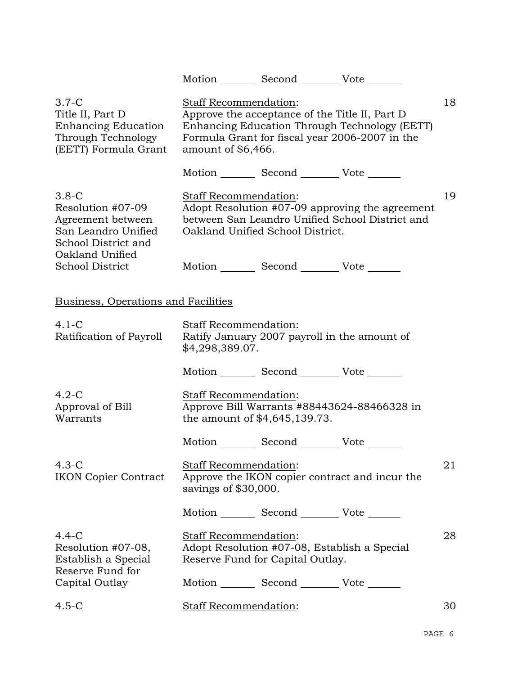|                                                                                                         |                                                                                                                                                                                                  | Motion _________ Second _________ Vote _______                                   |                                                                                                    |    |
|---------------------------------------------------------------------------------------------------------|--------------------------------------------------------------------------------------------------------------------------------------------------------------------------------------------------|----------------------------------------------------------------------------------|----------------------------------------------------------------------------------------------------|----|
| $3.7-C$<br>Title II, Part D<br><b>Enhancing Education</b><br>Through Technology<br>(EETT) Formula Grant | Staff Recommendation:<br>Approve the acceptance of the Title II, Part D<br>Enhancing Education Through Technology (EETT)<br>Formula Grant for fiscal year 2006-2007 in the<br>amount of \$6,466. |                                                                                  |                                                                                                    |    |
|                                                                                                         |                                                                                                                                                                                                  | Motion _________ Second __________ Vote _______                                  |                                                                                                    |    |
| $3.8-C$<br>Resolution #07-09<br>Agreement between<br>San Leandro Unified<br>School District and         | Staff Recommendation:                                                                                                                                                                            | Oakland Unified School District.                                                 | Adopt Resolution #07-09 approving the agreement<br>between San Leandro Unified School District and | 19 |
| Oakland Unified<br><b>School District</b>                                                               |                                                                                                                                                                                                  | Motion Second Vote                                                               |                                                                                                    |    |
| Business, Operations and Facilities                                                                     |                                                                                                                                                                                                  |                                                                                  |                                                                                                    |    |
| $4.1 - C$<br>Ratification of Payroll                                                                    | Staff Recommendation:<br>Ratify January 2007 payroll in the amount of<br>\$4,298,389.07.                                                                                                         |                                                                                  |                                                                                                    |    |
|                                                                                                         |                                                                                                                                                                                                  | Motion _________ Second __________ Vote _______                                  |                                                                                                    |    |
| $4.2-C$<br>Approval of Bill<br>Warrants                                                                 | Staff Recommendation:                                                                                                                                                                            | the amount of \$4,645,139.73.                                                    | Approve Bill Warrants #88443624-88466328 in                                                        |    |
|                                                                                                         |                                                                                                                                                                                                  | Motion _________ Second __________ Vote _______                                  |                                                                                                    |    |
| $4.3-C$<br><b>IKON Copier Contract</b>                                                                  | <b>Staff Recommendation:</b><br>savings of $$30,000$ .                                                                                                                                           |                                                                                  | Approve the IKON copier contract and incur the                                                     | 21 |
|                                                                                                         |                                                                                                                                                                                                  | Motion _________ Second __________ Vote _______                                  |                                                                                                    |    |
| $4.4-C$<br>Resolution #07-08,<br>Establish a Special<br>Reserve Fund for                                | Staff Recommendation:                                                                                                                                                                            | Adopt Resolution #07-08, Establish a Special<br>Reserve Fund for Capital Outlay. |                                                                                                    | 28 |
| Capital Outlay                                                                                          |                                                                                                                                                                                                  | Motion _________ Second __________ Vote _______                                  |                                                                                                    |    |
| $4.5 - C$                                                                                               | Staff Recommendation:                                                                                                                                                                            |                                                                                  |                                                                                                    | 30 |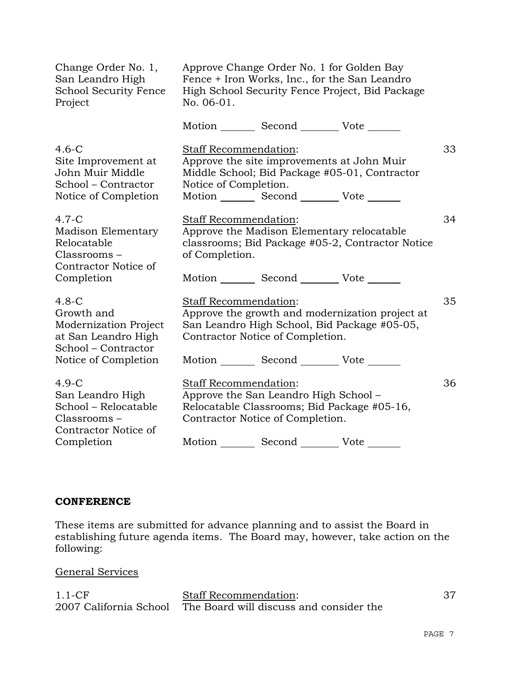| Change Order No. 1,<br>San Leandro High<br><b>School Security Fence</b><br>Project                  | Approve Change Order No. 1 for Golden Bay<br>Fence + Iron Works, Inc., for the San Leandro<br>High School Security Fence Project, Bid Package<br>No. 06-01.                                      |    |  |
|-----------------------------------------------------------------------------------------------------|--------------------------------------------------------------------------------------------------------------------------------------------------------------------------------------------------|----|--|
|                                                                                                     | Motion Second Vote                                                                                                                                                                               |    |  |
| $4.6-C$<br>Site Improvement at<br>John Muir Middle<br>School - Contractor<br>Notice of Completion   | Staff Recommendation:<br>Approve the site improvements at John Muir<br>Middle School; Bid Package #05-01, Contractor<br>Notice of Completion.<br>Motion _________ Second __________ Vote _______ | 33 |  |
| $4.7-C$<br><b>Madison Elementary</b><br>Relocatable<br>Classrooms-<br>Contractor Notice of          | Staff Recommendation:<br>Approve the Madison Elementary relocatable<br>classrooms; Bid Package #05-2, Contractor Notice<br>of Completion.                                                        | 34 |  |
| Completion                                                                                          | Motion _________ Second __________ Vote _______                                                                                                                                                  |    |  |
| $4.8-C$<br>Growth and<br><b>Modernization Project</b><br>at San Leandro High<br>School - Contractor | Staff Recommendation:<br>Approve the growth and modernization project at<br>San Leandro High School, Bid Package #05-05,<br>Contractor Notice of Completion.                                     | 35 |  |
| Notice of Completion                                                                                | Motion _________ Second __________ Vote _______                                                                                                                                                  |    |  |
| $4.9-C$<br>San Leandro High<br>School - Relocatable<br>Classrooms -<br>Contractor Notice of         | Staff Recommendation:<br>Approve the San Leandro High School -<br>Relocatable Classrooms; Bid Package #05-16,<br>Contractor Notice of Completion.                                                | 36 |  |
| Completion                                                                                          | Motion Second Vote                                                                                                                                                                               |    |  |

### **CONFERENCE**

These items are submitted for advance planning and to assist the Board in establishing future agenda items. The Board may, however, take action on the following:

# General Services

| $1.1-CF$ | Staff Recommendation:                                          |
|----------|----------------------------------------------------------------|
|          | 2007 California School The Board will discuss and consider the |

37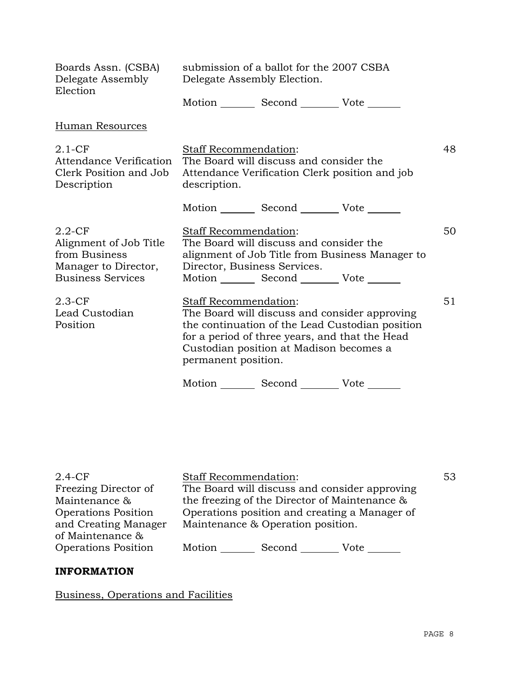| Boards Assn. (CSBA)<br>Delegate Assembly                                                                 | submission of a ballot for the 2007 CSBA<br>Delegate Assembly Election.                                                            |                                                                                                                                            |                                                 |    |
|----------------------------------------------------------------------------------------------------------|------------------------------------------------------------------------------------------------------------------------------------|--------------------------------------------------------------------------------------------------------------------------------------------|-------------------------------------------------|----|
| Election                                                                                                 |                                                                                                                                    | Motion _________ Second __________ Vote _______                                                                                            |                                                 |    |
| Human Resources                                                                                          |                                                                                                                                    |                                                                                                                                            |                                                 |    |
| $2.1 - CF$<br><b>Attendance Verification</b><br>Clerk Position and Job<br>Description                    | Staff Recommendation:<br>The Board will discuss and consider the<br>Attendance Verification Clerk position and job<br>description. |                                                                                                                                            |                                                 | 48 |
|                                                                                                          |                                                                                                                                    | Motion _________ Second __________ Vote _______                                                                                            |                                                 |    |
| $2.2$ -CF<br>Alignment of Job Title<br>from Business<br>Manager to Director,<br><b>Business Services</b> | Staff Recommendation:<br>Director, Business Services.                                                                              | The Board will discuss and consider the<br>Motion _________ Second __________ Vote _______                                                 | alignment of Job Title from Business Manager to | 50 |
| $2.3$ -CF<br>Lead Custodian<br>Position                                                                  | Staff Recommendation:<br>permanent position.                                                                                       | The Board will discuss and consider approving<br>for a period of three years, and that the Head<br>Custodian position at Madison becomes a | the continuation of the Lead Custodian position | 51 |
|                                                                                                          |                                                                                                                                    | Motion _________ Second __________ Vote _______                                                                                            |                                                 |    |
|                                                                                                          |                                                                                                                                    |                                                                                                                                            |                                                 |    |
|                                                                                                          |                                                                                                                                    |                                                                                                                                            |                                                 |    |

| 2.4-CF                     | <b>Staff Recommendation:</b>                  | 53 |
|----------------------------|-----------------------------------------------|----|
| Freezing Director of       | The Board will discuss and consider approving |    |
| Maintenance &              | the freezing of the Director of Maintenance & |    |
| <b>Operations Position</b> | Operations position and creating a Manager of |    |
| and Creating Manager       | Maintenance & Operation position.             |    |
| of Maintenance &           |                                               |    |
| <b>Operations Position</b> | Motion<br>Second<br>Vote                      |    |
|                            |                                               |    |

# **INFORMATION**

# Business, Operations and Facilities